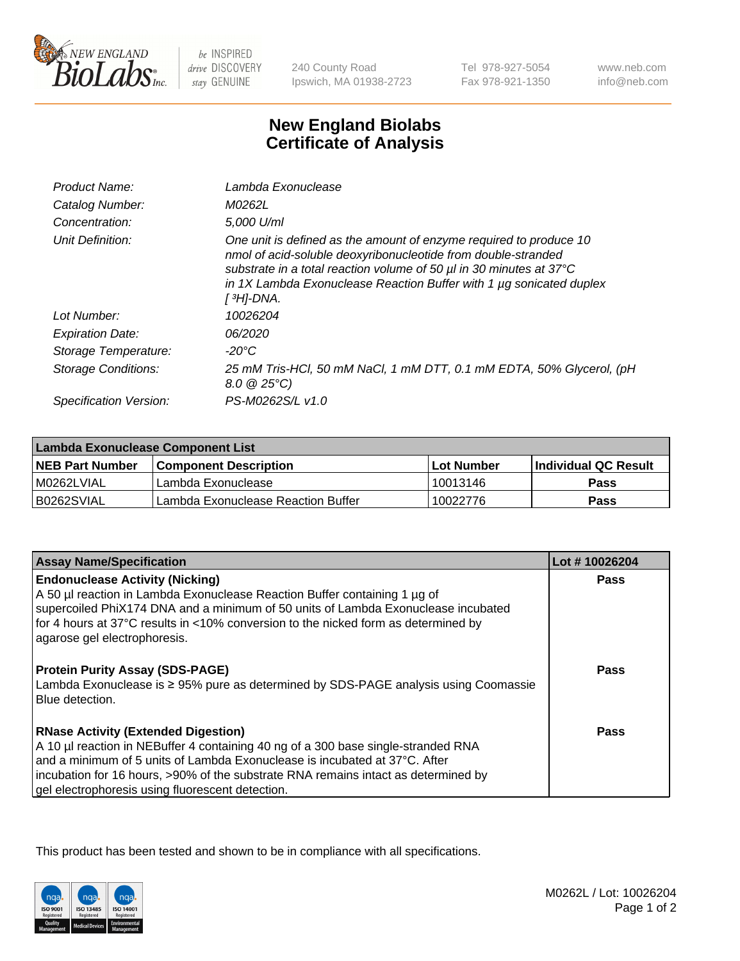

 $be$  INSPIRED drive DISCOVERY stay GENUINE

240 County Road Ipswich, MA 01938-2723

Tel 978-927-5054 Fax 978-921-1350 www.neb.com info@neb.com

## **New England Biolabs Certificate of Analysis**

| Product Name:              | Lambda Exonuclease                                                                                                                                                                                                                                                                                   |
|----------------------------|------------------------------------------------------------------------------------------------------------------------------------------------------------------------------------------------------------------------------------------------------------------------------------------------------|
| Catalog Number:            | M0262L                                                                                                                                                                                                                                                                                               |
| Concentration:             | 5.000 U/ml                                                                                                                                                                                                                                                                                           |
| Unit Definition:           | One unit is defined as the amount of enzyme required to produce 10<br>nmol of acid-soluble deoxyribonucleotide from double-stranded<br>substrate in a total reaction volume of 50 µl in 30 minutes at 37°C<br>in 1X Lambda Exonuclease Reaction Buffer with 1 $\mu$ g sonicated duplex<br>[ 3H]-DNA. |
| Lot Number:                | 10026204                                                                                                                                                                                                                                                                                             |
| <b>Expiration Date:</b>    | 06/2020                                                                                                                                                                                                                                                                                              |
| Storage Temperature:       | $-20^{\circ}$ C                                                                                                                                                                                                                                                                                      |
| <b>Storage Conditions:</b> | 25 mM Tris-HCl, 50 mM NaCl, 1 mM DTT, 0.1 mM EDTA, 50% Glycerol, (pH<br>$8.0 \ @ 25^{\circ}C$                                                                                                                                                                                                        |
| Specification Version:     | PS-M0262S/L v1.0                                                                                                                                                                                                                                                                                     |

| Lambda Exonuclease Component List |                                    |                   |                             |  |
|-----------------------------------|------------------------------------|-------------------|-----------------------------|--|
| <b>NEB Part Number</b>            | <b>Component Description</b>       | <b>Lot Number</b> | <b>Individual QC Result</b> |  |
| IM0262LVIAL                       | Lambda Exonuclease                 | 10013146          | <b>Pass</b>                 |  |
| IB0262SVIAL                       | Lambda Exonuclease Reaction Buffer | 10022776          | Pass                        |  |

| <b>Assay Name/Specification</b>                                                     | Lot #10026204 |
|-------------------------------------------------------------------------------------|---------------|
| <b>Endonuclease Activity (Nicking)</b>                                              | <b>Pass</b>   |
| A 50 µl reaction in Lambda Exonuclease Reaction Buffer containing 1 µg of           |               |
| supercoiled PhiX174 DNA and a minimum of 50 units of Lambda Exonuclease incubated   |               |
| for 4 hours at 37°C results in <10% conversion to the nicked form as determined by  |               |
| agarose gel electrophoresis.                                                        |               |
|                                                                                     |               |
| <b>Protein Purity Assay (SDS-PAGE)</b>                                              | <b>Pass</b>   |
| Lambda Exonuclease is ≥ 95% pure as determined by SDS-PAGE analysis using Coomassie |               |
| Blue detection.                                                                     |               |
| <b>RNase Activity (Extended Digestion)</b>                                          | Pass          |
| A 10 µl reaction in NEBuffer 4 containing 40 ng of a 300 base single-stranded RNA   |               |
| and a minimum of 5 units of Lambda Exonuclease is incubated at 37°C. After          |               |
| incubation for 16 hours, >90% of the substrate RNA remains intact as determined by  |               |
| gel electrophoresis using fluorescent detection.                                    |               |

This product has been tested and shown to be in compliance with all specifications.